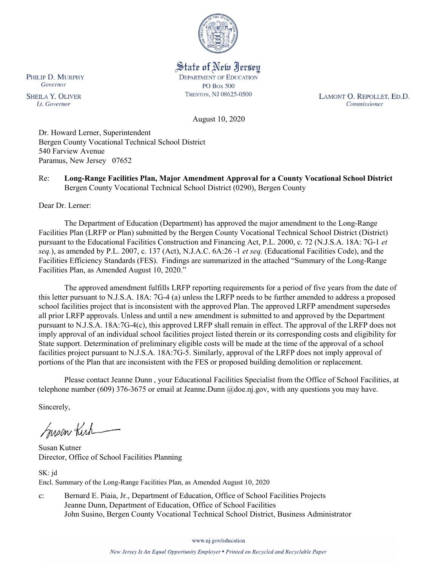

State of New Jersey **DEPARTMENT OF EDUCATION PO Box 500** TRENTON, NJ 08625-0500

LAMONT O. REPOLLET, ED.D. Commissioner

August 10, 2020

Dr. Howard Lerner, Superintendent Bergen County Vocational Technical School District 540 Farview Avenue Paramus, New Jersey 07652

Re: **Long-Range Facilities Plan, Major Amendment Approval for a County Vocational School District** Bergen County Vocational Technical School District (0290), Bergen County

Dear Dr. Lerner:

The Department of Education (Department) has approved the major amendment to the Long-Range Facilities Plan (LRFP or Plan) submitted by the Bergen County Vocational Technical School District (District) pursuant to the Educational Facilities Construction and Financing Act, P.L. 2000, c. 72 (N.J.S.A. 18A: 7G-1 *et seq.*), as amended by P.L. 2007, c. 137 (Act), N.J.A.C. 6A:26 -1 *et seq.* (Educational Facilities Code), and the Facilities Efficiency Standards (FES). Findings are summarized in the attached "Summary of the Long-Range Facilities Plan, as Amended August 10, 2020."

The approved amendment fulfills LRFP reporting requirements for a period of five years from the date of this letter pursuant to N.J.S.A. 18A: 7G-4 (a) unless the LRFP needs to be further amended to address a proposed school facilities project that is inconsistent with the approved Plan. The approved LRFP amendment supersedes all prior LRFP approvals. Unless and until a new amendment is submitted to and approved by the Department pursuant to N.J.S.A. 18A:7G-4(c), this approved LRFP shall remain in effect. The approval of the LRFP does not imply approval of an individual school facilities project listed therein or its corresponding costs and eligibility for State support. Determination of preliminary eligible costs will be made at the time of the approval of a school facilities project pursuant to N.J.S.A. 18A:7G-5. Similarly, approval of the LRFP does not imply approval of portions of the Plan that are inconsistent with the FES or proposed building demolition or replacement.

Please contact Jeanne Dunn , your Educational Facilities Specialist from the Office of School Facilities, at telephone number (609) 376-3675 or email at Jeanne.Dunn @doe.nj.gov, with any questions you may have.

Sincerely,

Susan Kich

Susan Kutner Director, Office of School Facilities Planning

SK: jd Encl. Summary of the Long-Range Facilities Plan, as Amended August 10, 2020

c: Bernard E. Piaia, Jr., Department of Education, Office of School Facilities Projects Jeanne Dunn, Department of Education, Office of School Facilities John Susino, Bergen County Vocational Technical School District, Business Administrator

www.nj.gov/education

New Jersey Is An Equal Opportunity Employer . Printed on Recycled and Recyclable Paper

PHILIP D. MURPHY Governor

**SHEILA Y. OLIVER** Lt. Governor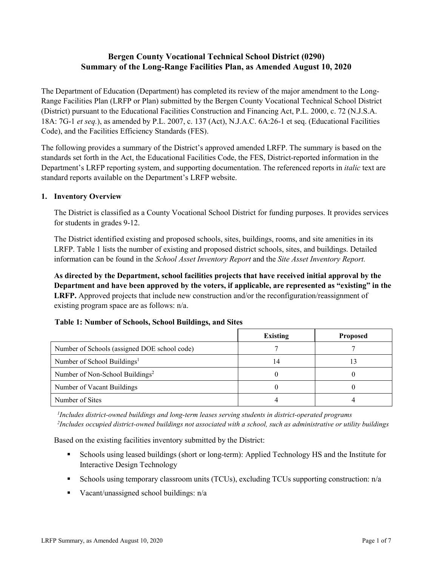# **Bergen County Vocational Technical School District (0290) Summary of the Long-Range Facilities Plan, as Amended August 10, 2020**

The Department of Education (Department) has completed its review of the major amendment to the Long-Range Facilities Plan (LRFP or Plan) submitted by the Bergen County Vocational Technical School District (District) pursuant to the Educational Facilities Construction and Financing Act, P.L. 2000, c. 72 (N.J.S.A. 18A: 7G-1 *et seq.*), as amended by P.L. 2007, c. 137 (Act), N.J.A.C. 6A:26-1 et seq. (Educational Facilities Code), and the Facilities Efficiency Standards (FES).

The following provides a summary of the District's approved amended LRFP. The summary is based on the standards set forth in the Act, the Educational Facilities Code, the FES, District-reported information in the Department's LRFP reporting system, and supporting documentation. The referenced reports in *italic* text are standard reports available on the Department's LRFP website.

### **1. Inventory Overview**

The District is classified as a County Vocational School District for funding purposes. It provides services for students in grades 9-12.

The District identified existing and proposed schools, sites, buildings, rooms, and site amenities in its LRFP. Table 1 lists the number of existing and proposed district schools, sites, and buildings. Detailed information can be found in the *School Asset Inventory Report* and the *Site Asset Inventory Report.*

**As directed by the Department, school facilities projects that have received initial approval by the Department and have been approved by the voters, if applicable, are represented as "existing" in the LRFP.** Approved projects that include new construction and/or the reconfiguration/reassignment of existing program space are as follows: n/a.

|                                              | <b>Existing</b> | <b>Proposed</b> |
|----------------------------------------------|-----------------|-----------------|
| Number of Schools (assigned DOE school code) |                 |                 |
| Number of School Buildings <sup>1</sup>      | 14              |                 |
| Number of Non-School Buildings <sup>2</sup>  |                 |                 |
| Number of Vacant Buildings                   |                 |                 |
| Number of Sites                              |                 |                 |

#### **Table 1: Number of Schools, School Buildings, and Sites**

*1 Includes district-owned buildings and long-term leases serving students in district-operated programs 2 Includes occupied district-owned buildings not associated with a school, such as administrative or utility buildings*

Based on the existing facilities inventory submitted by the District:

- Schools using leased buildings (short or long-term): Applied Technology HS and the Institute for Interactive Design Technology
- Schools using temporary classroom units (TCUs), excluding TCUs supporting construction: n/a
- Vacant/unassigned school buildings:  $n/a$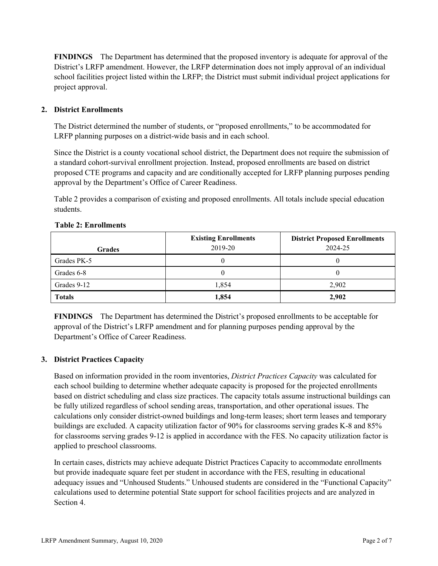**FINDINGS** The Department has determined that the proposed inventory is adequate for approval of the District's LRFP amendment. However, the LRFP determination does not imply approval of an individual school facilities project listed within the LRFP; the District must submit individual project applications for project approval.

### **2. District Enrollments**

The District determined the number of students, or "proposed enrollments," to be accommodated for LRFP planning purposes on a district-wide basis and in each school.

Since the District is a county vocational school district, the Department does not require the submission of a standard cohort-survival enrollment projection. Instead, proposed enrollments are based on district proposed CTE programs and capacity and are conditionally accepted for LRFP planning purposes pending approval by the Department's Office of Career Readiness.

Table 2 provides a comparison of existing and proposed enrollments. All totals include special education students.

| <b>Grades</b> | <b>Existing Enrollments</b><br>2019-20 | <b>District Proposed Enrollments</b><br>2024-25 |
|---------------|----------------------------------------|-------------------------------------------------|
| Grades PK-5   |                                        | U                                               |
| Grades 6-8    |                                        | O                                               |
| Grades 9-12   | 1,854                                  | 2,902                                           |
| <b>Totals</b> | 1,854                                  | 2,902                                           |

#### **Table 2: Enrollments**

**FINDINGS** The Department has determined the District's proposed enrollments to be acceptable for approval of the District's LRFP amendment and for planning purposes pending approval by the Department's Office of Career Readiness.

# **3. District Practices Capacity**

Based on information provided in the room inventories, *District Practices Capacity* was calculated for each school building to determine whether adequate capacity is proposed for the projected enrollments based on district scheduling and class size practices. The capacity totals assume instructional buildings can be fully utilized regardless of school sending areas, transportation, and other operational issues. The calculations only consider district-owned buildings and long-term leases; short term leases and temporary buildings are excluded. A capacity utilization factor of 90% for classrooms serving grades K-8 and 85% for classrooms serving grades 9-12 is applied in accordance with the FES. No capacity utilization factor is applied to preschool classrooms.

In certain cases, districts may achieve adequate District Practices Capacity to accommodate enrollments but provide inadequate square feet per student in accordance with the FES, resulting in educational adequacy issues and "Unhoused Students." Unhoused students are considered in the "Functional Capacity" calculations used to determine potential State support for school facilities projects and are analyzed in Section 4.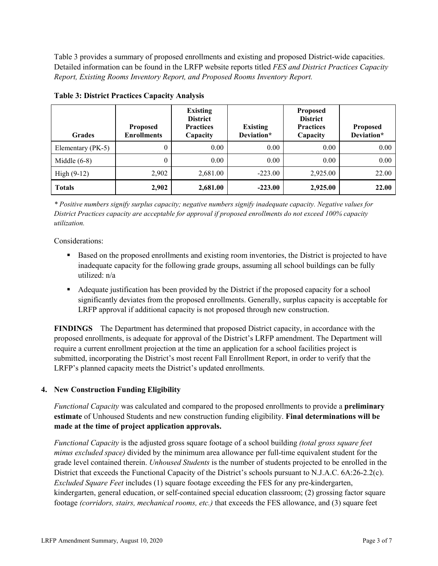Table 3 provides a summary of proposed enrollments and existing and proposed District-wide capacities. Detailed information can be found in the LRFP website reports titled *FES and District Practices Capacity Report, Existing Rooms Inventory Report, and Proposed Rooms Inventory Report.*

| <b>Grades</b>     | <b>Proposed</b><br><b>Enrollments</b> | <b>Existing</b><br><b>District</b><br><b>Practices</b><br>Capacity | <b>Existing</b><br>Deviation* | <b>Proposed</b><br><b>District</b><br><b>Practices</b><br>Capacity | <b>Proposed</b><br>Deviation* |
|-------------------|---------------------------------------|--------------------------------------------------------------------|-------------------------------|--------------------------------------------------------------------|-------------------------------|
| Elementary (PK-5) | $\theta$                              | 0.00                                                               | 0.00                          | 0.00                                                               | 0.00                          |
| Middle $(6-8)$    | $\theta$                              | 0.00                                                               | 0.00                          | 0.00                                                               | 0.00                          |
| High $(9-12)$     | 2,902                                 | 2,681.00                                                           | $-223.00$                     | 2,925.00                                                           | 22.00                         |
| <b>Totals</b>     | 2,902                                 | 2,681.00                                                           | $-223.00$                     | 2,925.00                                                           | 22.00                         |

**Table 3: District Practices Capacity Analysis**

*\* Positive numbers signify surplus capacity; negative numbers signify inadequate capacity. Negative values for District Practices capacity are acceptable for approval if proposed enrollments do not exceed 100% capacity utilization.*

Considerations:

- Based on the proposed enrollments and existing room inventories, the District is projected to have inadequate capacity for the following grade groups, assuming all school buildings can be fully utilized: n/a
- Adequate justification has been provided by the District if the proposed capacity for a school significantly deviates from the proposed enrollments. Generally, surplus capacity is acceptable for LRFP approval if additional capacity is not proposed through new construction.

**FINDINGS**The Department has determined that proposed District capacity, in accordance with the proposed enrollments, is adequate for approval of the District's LRFP amendment. The Department will require a current enrollment projection at the time an application for a school facilities project is submitted, incorporating the District's most recent Fall Enrollment Report, in order to verify that the LRFP's planned capacity meets the District's updated enrollments.

# **4. New Construction Funding Eligibility**

*Functional Capacity* was calculated and compared to the proposed enrollments to provide a **preliminary estimate** of Unhoused Students and new construction funding eligibility. **Final determinations will be made at the time of project application approvals.**

*Functional Capacity* is the adjusted gross square footage of a school building *(total gross square feet minus excluded space)* divided by the minimum area allowance per full-time equivalent student for the grade level contained therein. *Unhoused Students* is the number of students projected to be enrolled in the District that exceeds the Functional Capacity of the District's schools pursuant to N.J.A.C. 6A:26-2.2(c). *Excluded Square Feet* includes (1) square footage exceeding the FES for any pre-kindergarten, kindergarten, general education, or self-contained special education classroom; (2) grossing factor square footage *(corridors, stairs, mechanical rooms, etc.)* that exceeds the FES allowance, and (3) square feet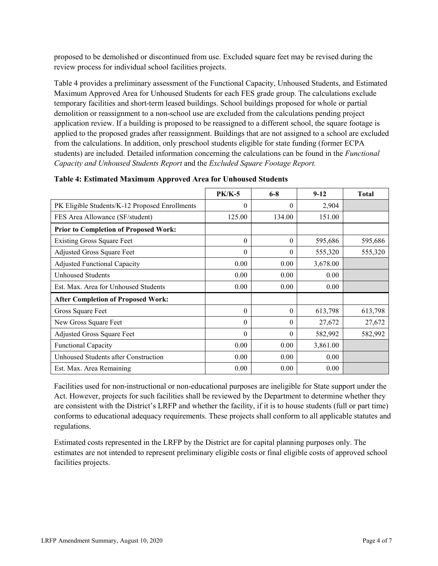proposed to be demolished or discontinued from use. Excluded square feet may be revised during the review process for individual school facilities projects.

Table 4 provides a preliminary assessment of the Functional Capacity, Unhoused Students, and Estimated Maximum Approved Area for Unhoused Students for each FES grade group. The calculations exclude temporary facilities and short-term leased buildings. School buildings proposed for whole or partial demolition or reassignment to a non-school use are excluded from the calculations pending project application review. If a building is proposed to be reassigned to a different school, the square footage is applied to the proposed grades after reassignment. Buildings that are not assigned to a school are excluded from the calculations. In addition, only preschool students eligible for state funding (former ECPA students) are included. Detailed information concerning the calculations can be found in the *Functional Capacity and Unhoused Students Report* and the *Excluded Square Footage Report.*

|                                                | <b>PK/K-5</b> | $6 - 8$  | $9 - 12$ | <b>Total</b> |
|------------------------------------------------|---------------|----------|----------|--------------|
| PK Eligible Students/K-12 Proposed Enrollments | 0             | $\theta$ | 2,904    |              |
| FES Area Allowance (SF/student)                | 125.00        | 134.00   | 151.00   |              |
| <b>Prior to Completion of Proposed Work:</b>   |               |          |          |              |
| <b>Existing Gross Square Feet</b>              | $\theta$      | 0        | 595,686  | 595,686      |
| <b>Adjusted Gross Square Feet</b>              | $\theta$      | 0        | 555,320  | 555,320      |
| <b>Adjusted Functional Capacity</b>            | 0.00          | 0.00     | 3,678.00 |              |
| <b>Unhoused Students</b>                       | 0.00          | 0.00     | 0.00     |              |
| Est. Max. Area for Unhoused Students           | 0.00          | 0.00     | 0.00     |              |
| <b>After Completion of Proposed Work:</b>      |               |          |          |              |
| Gross Square Feet                              | $\theta$      | $\theta$ | 613,798  | 613,798      |
| New Gross Square Feet                          | $\theta$      | $\theta$ | 27,672   | 27,672       |
| <b>Adjusted Gross Square Feet</b>              | $\Omega$      | 0        | 582,992  | 582,992      |
| <b>Functional Capacity</b>                     | 0.00          | 0.00     | 3,861.00 |              |
| Unhoused Students after Construction           | 0.00          | 0.00     | 0.00     |              |
| Est. Max. Area Remaining                       | 0.00          | 0.00     | 0.00     |              |

| Table 4: Estimated Maximum Approved Area for Unhoused Students |  |
|----------------------------------------------------------------|--|
|----------------------------------------------------------------|--|

Facilities used for non-instructional or non-educational purposes are ineligible for State support under the Act. However, projects for such facilities shall be reviewed by the Department to determine whether they are consistent with the District's LRFP and whether the facility, if it is to house students (full or part time) conforms to educational adequacy requirements. These projects shall conform to all applicable statutes and regulations.

Estimated costs represented in the LRFP by the District are for capital planning purposes only. The estimates are not intended to represent preliminary eligible costs or final eligible costs of approved school facilities projects.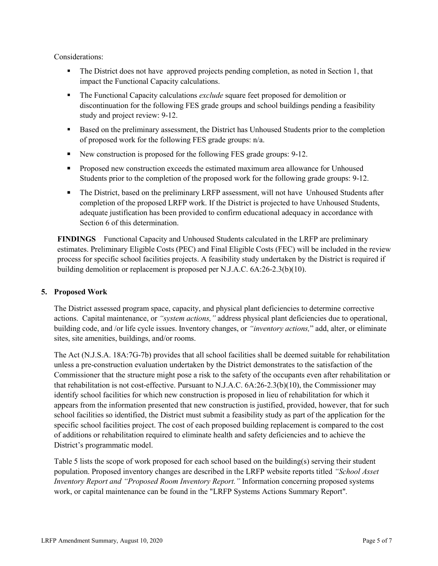Considerations:

- The District does not have approved projects pending completion, as noted in Section 1, that impact the Functional Capacity calculations.
- The Functional Capacity calculations *exclude* square feet proposed for demolition or discontinuation for the following FES grade groups and school buildings pending a feasibility study and project review: 9-12.
- **Based on the preliminary assessment, the District has Unhoused Students prior to the completion** of proposed work for the following FES grade groups: n/a.
- New construction is proposed for the following FES grade groups: 9-12.
- **Proposed new construction exceeds the estimated maximum area allowance for Unhoused** Students prior to the completion of the proposed work for the following grade groups: 9-12.
- The District, based on the preliminary LRFP assessment, will not have Unhoused Students after completion of the proposed LRFP work. If the District is projected to have Unhoused Students, adequate justification has been provided to confirm educational adequacy in accordance with Section 6 of this determination.

**FINDINGS** Functional Capacity and Unhoused Students calculated in the LRFP are preliminary estimates. Preliminary Eligible Costs (PEC) and Final Eligible Costs (FEC) will be included in the review process for specific school facilities projects. A feasibility study undertaken by the District is required if building demolition or replacement is proposed per N.J.A.C. 6A:26-2.3(b)(10).

# **5. Proposed Work**

The District assessed program space, capacity, and physical plant deficiencies to determine corrective actions. Capital maintenance, or *"system actions,"* address physical plant deficiencies due to operational, building code, and /or life cycle issues. Inventory changes, or *"inventory actions,*" add, alter, or eliminate sites, site amenities, buildings, and/or rooms.

The Act (N.J.S.A. 18A:7G-7b) provides that all school facilities shall be deemed suitable for rehabilitation unless a pre-construction evaluation undertaken by the District demonstrates to the satisfaction of the Commissioner that the structure might pose a risk to the safety of the occupants even after rehabilitation or that rehabilitation is not cost-effective. Pursuant to N.J.A.C. 6A:26-2.3(b)(10), the Commissioner may identify school facilities for which new construction is proposed in lieu of rehabilitation for which it appears from the information presented that new construction is justified, provided, however, that for such school facilities so identified, the District must submit a feasibility study as part of the application for the specific school facilities project. The cost of each proposed building replacement is compared to the cost of additions or rehabilitation required to eliminate health and safety deficiencies and to achieve the District's programmatic model.

Table 5 lists the scope of work proposed for each school based on the building(s) serving their student population. Proposed inventory changes are described in the LRFP website reports titled *"School Asset Inventory Report and "Proposed Room Inventory Report."* Information concerning proposed systems work, or capital maintenance can be found in the "LRFP Systems Actions Summary Report".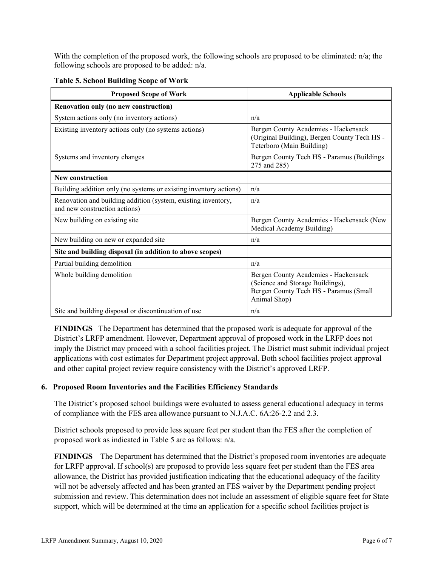With the completion of the proposed work, the following schools are proposed to be eliminated: n/a; the following schools are proposed to be added: n/a.

| <b>Proposed Scope of Work</b>                                                                  | <b>Applicable Schools</b>                                                                                                          |
|------------------------------------------------------------------------------------------------|------------------------------------------------------------------------------------------------------------------------------------|
| Renovation only (no new construction)                                                          |                                                                                                                                    |
| System actions only (no inventory actions)                                                     | n/a                                                                                                                                |
| Existing inventory actions only (no systems actions)                                           | Bergen County Academies - Hackensack<br>(Original Building), Bergen County Tech HS -<br>Teterboro (Main Building)                  |
| Systems and inventory changes                                                                  | Bergen County Tech HS - Paramus (Buildings<br>275 and 285)                                                                         |
| <b>New construction</b>                                                                        |                                                                                                                                    |
| Building addition only (no systems or existing inventory actions)                              | n/a                                                                                                                                |
| Renovation and building addition (system, existing inventory,<br>and new construction actions) | n/a                                                                                                                                |
| New building on existing site                                                                  | Bergen County Academies - Hackensack (New<br>Medical Academy Building)                                                             |
| New building on new or expanded site                                                           | n/a                                                                                                                                |
| Site and building disposal (in addition to above scopes)                                       |                                                                                                                                    |
| Partial building demolition                                                                    | n/a                                                                                                                                |
| Whole building demolition                                                                      | Bergen County Academies - Hackensack<br>(Science and Storage Buildings),<br>Bergen County Tech HS - Paramus (Small<br>Animal Shop) |
| Site and building disposal or discontinuation of use                                           | n/a                                                                                                                                |

**Table 5. School Building Scope of Work**

**FINDINGS** The Department has determined that the proposed work is adequate for approval of the District's LRFP amendment. However, Department approval of proposed work in the LRFP does not imply the District may proceed with a school facilities project. The District must submit individual project applications with cost estimates for Department project approval. Both school facilities project approval and other capital project review require consistency with the District's approved LRFP.

# **6. Proposed Room Inventories and the Facilities Efficiency Standards**

The District's proposed school buildings were evaluated to assess general educational adequacy in terms of compliance with the FES area allowance pursuant to N.J.A.C. 6A:26-2.2 and 2.3.

District schools proposed to provide less square feet per student than the FES after the completion of proposed work as indicated in Table 5 are as follows: n/a.

**FINDINGS** The Department has determined that the District's proposed room inventories are adequate for LRFP approval. If school(s) are proposed to provide less square feet per student than the FES area allowance, the District has provided justification indicating that the educational adequacy of the facility will not be adversely affected and has been granted an FES waiver by the Department pending project submission and review. This determination does not include an assessment of eligible square feet for State support, which will be determined at the time an application for a specific school facilities project is